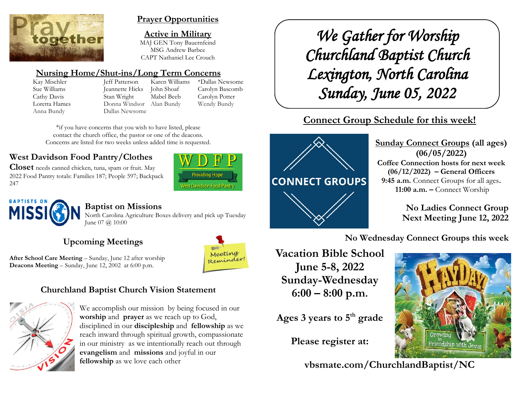

### **Prayer Opportunities**

**Active in Military** MAJ GEN Tony Bauernfeind MSG Andrew Barbee CAPT Nathaniel Lee Crouch

# **Nursing Home/Shut-ins/Long Term Concerns**

Kay Mischler Jeff Patterson Karen Williams \*Dallas Newsome Sue Williams Jeannette Hicks John Shoaf Carolyn Bascomb Cathy Davis Stan Wright Mabel Beeb Carolyn Potter Loretta Hames Donna Windsor Alan Bundy Wendy Bundy Anna Bundy Dallas Newsome

\*if you have concerns that you wish to have listed, please contact the church office, the pastor or one of the deacons. Concerns are listed for two weeks unless added time is requested.

# **West Davidson Food Pantry/Clothes**

**Closet** needs canned chicken, tuna, spam or fruit. May 2022 Food Pantry totals: Families 187; People 597; Backpack 247





# **Baptist on Missions**

North Carolina Agriculture Boxes delivery and pick up Tuesday June 07 @ 10:00

# **Upcoming Meetings**



**After School Care Meeting** – Sunday, June 12 after worship **Deacons Meeting** – Sunday, June 12, 2002 at 6:00 p.m.

# **Churchland Baptist Church Vision Statement**



We accomplish our mission by being focused in our **worship** and **prayer** as we reach up to God, disciplined in our **discipleship** and **fellowship** as we reach inward through spiritual growth, compassionate in our ministry as we intentionally reach out through **evangelism** and **missions** and joyful in our **fellowship** as we love each other

*We Gather for Worship Churchland Baptist Church Lexington, North Carolina Sunday, June 05, 2022* 

# **Connect Group Schedule for this week!**



**Sunday Connect Groups (all ages) (06/05/2022) Coffee Connection hosts for next week (06/12/2022) – General Officers 9:45 a.m.** Connect Groups for all ages**. 11:00 a.m. –** Connect Worship

> **No Ladies Connect Group Next Meeting June 12, 2022**

**No Wednesday Connect Groups this week**

**Vacation Bible School June 5-8, 2022 Sunday-Wednesday 6:00 – 8:00 p.m.**

**Ages 3 years to 5th grade**

**Please register at:**

**vbsmate.com/ChurchlandBaptist/NC**

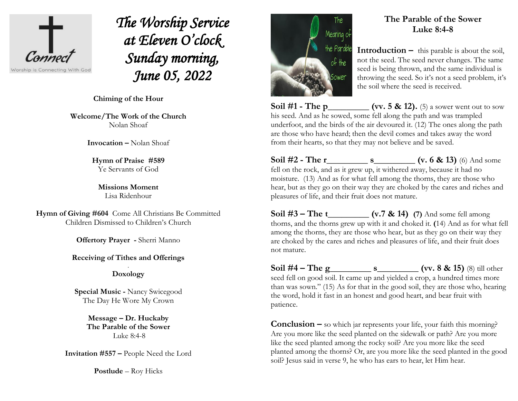

*The Worship Service at Eleven O'clock Sunday morning, June 05, 2022* 

 $\overline{a}$ **Chiming of the Hour**

**Welcome/The Work of the Church** Nolan Shoaf

**Invocation –** Nolan Shoaf

**Hymn of Praise #589**  Ye Servants of God

**Missions Moment** Lisa Ridenhour

**Hymn of Giving #604** Come All Christians Be Committed Children Dismissed to Children's Church

**Offertory Prayer -** Sherri Manno

#### **Receiving of Tithes and Offerings** .

### **Doxology**

**Special Music -** Nancy Swicegood The Day He Wore My Crown

> **Message – Dr. Huckaby The Parable of the Sower** Luke 8:4-8

**Invitation #557 –** People Need the Lord

**Postlude** – Roy Hicks



patience.

## **The Parable of the Sower Luke 8:4-8**

**Introduction –** this parable is about the soil, not the seed. The seed never changes. The same seed is being thrown, and the same individual is throwing the seed. So it's not a seed problem, it's the soil where the seed is received.

**Soil #1 - The p\_\_\_\_\_\_\_\_ (vv. 5 & 12).** (5) a sower went out to sow his seed. And as he sowed, some fell along the path and was trampled underfoot, and the birds of the air devoured it. (12) The ones along the path are those who have heard; then the devil comes and takes away the word from their hearts, so that they may not believe and be saved.

**Soil #2 - The r s** (v. 6 & 13) (6) And some fell on the rock, and as it grew up, it withered away, because it had no moisture. (13) And as for what fell among the thorns, they are those who hear, but as they go on their way they are choked by the cares and riches and pleasures of life, and their fruit does not mature.

**Soil #3 – The t\_\_\_\_\_\_\_\_\_ (v.7 & 14) (7)** And some fell among thorns, and the thorns grew up with it and choked it. **(**14) And as for what fell among the thorns, they are those who hear, but as they go on their way they are choked by the cares and riches and pleasures of life, and their fruit does not mature.

**Soil #4 – The g\_\_\_\_\_\_\_\_\_ s\_\_\_\_\_\_\_\_\_ (vv. 8 & 15)** (8) till other seed fell on good soil. It came up and yielded a crop, a hundred times more than was sown." (15) As for that in the good soil, they are those who, hearing the word, hold it fast in an honest and good heart, and bear fruit with

**Conclusion –** so which jar represents your life, your faith this morning? Are you more like the seed planted on the sidewalk or path? Are you more like the seed planted among the rocky soil? Are you more like the seed planted among the thorns? Or, are you more like the seed planted in the good soil? Jesus said in verse 9, he who has ears to hear, let Him hear.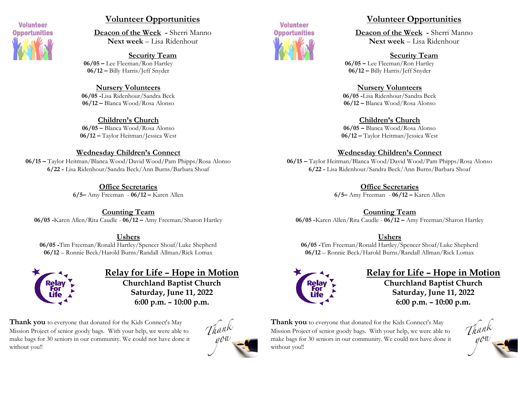

### **Volunteer Opportunities**

**Deacon of the Week -** Sherri Manno **Next week** – Lisa Ridenhour

**Security Team 06/05 –** Lee Fleeman/Ron Hartley **06/12 –** Billy Harris/Jeff Snyder

**Nursery Volunteers 06/05 -**Lisa Ridenhour/Sandra Beck **06/12 –** Blanca Wood/Rosa Alonso

**Children's Church 06/05 –** Blanca Wood/Rosa Alonso **06/12 –** Taylor Heitman/Jessica West

#### **Wednesday Children's Connect**

**06/15 –** Taylor Heitman/Blanca Wood/David Wood/Pam Phipps/Rosa Alonso **6/22 -** Lisa Ridenhour/Sandra Beck/Ann Burns/Barbara Shoaf

> **Office Secretaries 6/5–** Amy Freeman - **06/12 –** Karen Allen

**Counting Team 06/05 -**Karen Allen/Rita Caudle - **06/12 –** Amy Freeman/Sharon Hartley

#### **Ushers**

**06/05 -**Tim Freeman/Ronald Hartley/Spencer Shoaf/Luke Shepherd **06/12** – Ronnie Beck/Harold Burns/Randall Allman/Rick Lomax



**Relay for Life – Hope in Motion Churchland Baptist Church Saturday, June 11, 2022 6:00 p.m. – 10:00 p.m.**

**Thank you** to everyone that donated for the Kids Connect's May Mission Project of senior goody bags. With your help, we were able to make bags for 30 seniors in our community. We could not have done it without you!!





### **Volunteer Opportunities**

**Deacon of the Week -** Sherri Manno **Next week** – Lisa Ridenhour

**Security Team**

**06/05 –** Lee Fleeman/Ron Hartley **06/12 –** Billy Harris/Jeff Snyder

#### **Nursery Volunteers**

**06/05 -**Lisa Ridenhour/Sandra Beck **06/12 –** Blanca Wood/Rosa Alonso

**Children's Church**

**06/05 –** Blanca Wood/Rosa Alonso **06/12 –** Taylor Heitman/Jessica West

#### **Wednesday Children's Connect**

**06/15 –** Taylor Heitman/Blanca Wood/David Wood/Pam Phipps/Rosa Alonso **6/22 -** Lisa Ridenhour/Sandra Beck/Ann Burns/Barbara Shoaf

**Office Secretaries**

**6/5–** Amy Freeman - **06/12 –** Karen Allen

**Counting Team**

**06/05 -**Karen Allen/Rita Caudle - **06/12 –** Amy Freeman/Sharon Hartley

#### **Ushers**

**06/05 -**Tim Freeman/Ronald Hartley/Spencer Shoaf/Luke Shepherd **06/12** – Ronnie Beck/Harold Burns/Randall Allman/Rick Lomax



# **Relay for Life – Hope in Motion**

**Churchland Baptist Church Saturday, June 11, 2022 6:00 p.m. – 10:00 p.m.**

**Thank you** to everyone that donated for the Kids Connect's May Mission Project of senior goody bags. With your help, we were able to make bags for 30 seniors in our community. We could not have done it without you!!